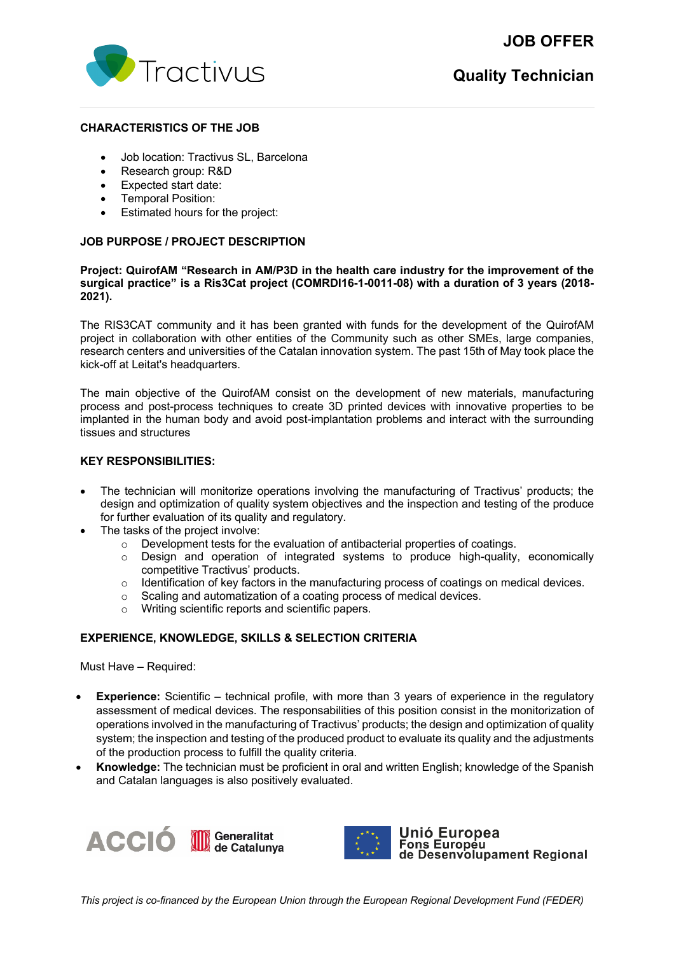# **JOB OFFER**



### **CHARACTERISTICS OF THE JOB**

- Job location: Tractivus SL, Barcelona
- Research group: R&D
- Expected start date:
- Temporal Position:
- Estimated hours for the project:

## **JOB PURPOSE / PROJECT DESCRIPTION**

### **Project: QuirofAM "Research in AM/P3D in the health care industry for the improvement of the surgical practice" is a Ris3Cat project (COMRDI16-1-0011-08) with a duration of 3 years (2018- 2021).**

The RIS3CAT community and it has been granted with funds for the development of the QuirofAM project in collaboration with other entities of the Community such as other SMEs, large companies, research centers and universities of the Catalan innovation system. The past 15th of May took place the kick-off at Leitat's headquarters.

The main objective of the QuirofAM consist on the development of new materials, manufacturing process and post-process techniques to create 3D printed devices with innovative properties to be implanted in the human body and avoid post-implantation problems and interact with the surrounding tissues and structures

## **KEY RESPONSIBILITIES:**

- The technician will monitorize operations involving the manufacturing of Tractivus' products; the design and optimization of quality system objectives and the inspection and testing of the produce for further evaluation of its quality and regulatory.
- The tasks of the project involve:
	- $\circ$  Development tests for the evaluation of antibacterial properties of coatings.
	- $\circ$  Design and operation of integrated systems to produce high-quality, economically competitive Tractivus' products.
	- $\circ$  Identification of key factors in the manufacturing process of coatings on medical devices.<br>  $\circ$  Scaling and automatization of a coating process of medical devices.
	- Scaling and automatization of a coating process of medical devices.
	- o Writing scientific reports and scientific papers.

# **EXPERIENCE, KNOWLEDGE, SKILLS & SELECTION CRITERIA**

Must Have – Required:

- **Experience:** Scientific technical profile, with more than 3 years of experience in the regulatory assessment of medical devices. The responsabilities of this position consist in the monitorization of operations involved in the manufacturing of Tractivus' products; the design and optimization of quality system; the inspection and testing of the produced product to evaluate its quality and the adjustments of the production process to fulfill the quality criteria.
- **Knowledge:** The technician must be proficient in oral and written English; knowledge of the Spanish and Catalan languages is also positively evaluated.





Unió Europea Fons Europeu<br>Tons Europeu<br>de Desenvolupament Regional